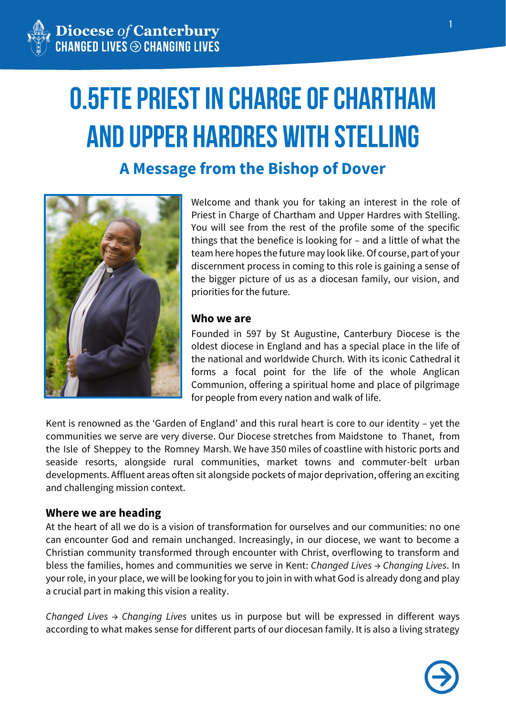# **0.5FTE PRIEST IN CHARGE OF CHARTHAM AND UPPER HARDRES WITH STELLING**

## **A Message from the Bishop of Dover**



Welcome and thank you for taking an interest in the role of Priest in Charge of Chartham and Upper Hardres with Stelling. You will see from the rest of the profile some of the specific things that the benefice is looking for – and a little of what the team here hopes the future may look like. Of course, part of your discernment process in coming to this role is gaining a sense of the bigger picture of us as a diocesan family, our vision, and priorities for the future.

#### **Who we are**

Founded in 597 by St Augustine, Canterbury Diocese is the oldest diocese in England and has a special place in the life of the national and worldwide Church. With its iconic Cathedral it forms a focal point for the life of the whole Anglican Communion, offering a spiritual home and place of pilgrimage for people from every nation and walk of life.

Kent is renowned as the 'Garden of England' and this rural heart is core to our identity – yet the communities we serve are very diverse. Our Diocese stretches from Maidstone to Thanet, from the Isle of Sheppey to the Romney Marsh. We have 350 miles of coastline with historic ports and seaside resorts, alongside rural communities, market towns and commuter-belt urban developments. Affluent areas often sit alongside pockets of major deprivation, offering an exciting and challenging mission context.

#### **Where we are heading**

At the heart of all we do is a vision of transformation for ourselves and our communities: no one can encounter God and remain unchanged. Increasingly, in our diocese, we want to become a Christian community transformed through encounter with Christ, overflowing to transform and bless the families, homes and communities we serve in Kent: *Changed Lives → Changing Lives*. In your role, in your place, we will be looking for you to join in with what God is already dong and play a crucial part in making this vision a reality.

*Changed Lives → Changing Lives* unites us in purpose but will be expressed in different ways according to what makes sense for different parts of our diocesan family. It is also a living strategy

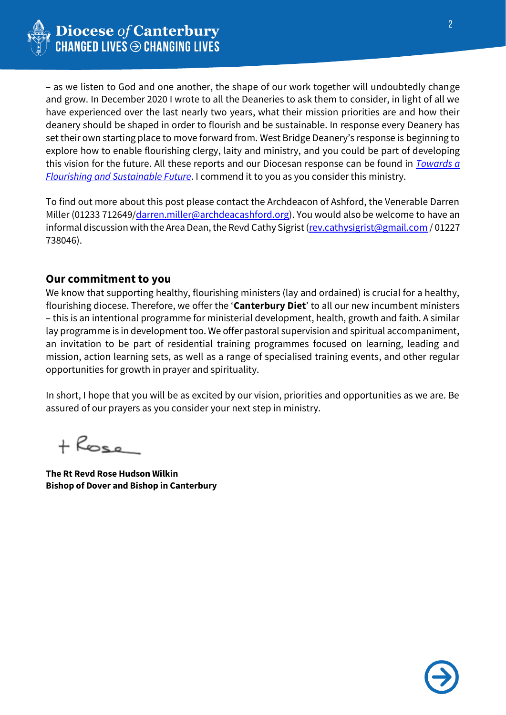

– as we listen to God and one another, the shape of our work together will undoubtedly change and grow. In December 2020 I wrote to all the Deaneries to ask them to consider, in light of all we have experienced over the last nearly two years, what their mission priorities are and how their deanery should be shaped in order to flourish and be sustainable. In response every Deanery has set their own starting place to move forward from. West Bridge Deanery's response is beginning to explore how to enable flourishing clergy, laity and ministry, and you could be part of developing this vision for the future. All these reports and our Diocesan response can be found in *[Towards a](https://d3hgrlq6yacptf.cloudfront.net/5f209069c4808/content/pages/documents/towardsaflourishingandsustainablefutureapril2021.pdf)  [Flourishing and Sustainable](https://d3hgrlq6yacptf.cloudfront.net/5f209069c4808/content/pages/documents/towardsaflourishingandsustainablefutureapril2021.pdf) Future*. I commend it to you as you consider this ministry.

To find out more about this post please contact the Archdeacon of Ashford, the Venerable Darren Miller (01233 712649[/darren.miller@archdeacashford.org\)](mailto:darren.miller@archdeacashford.org). You would also be welcome to have an informal discussion with the Area Dean, the Revd Cathy Sigrist [\(rev.cathysigrist@gmail.com](mailto:rev.cathysigrist@gmail.com) / 01227 738046).

#### **Our commitment to you**

We know that supporting healthy, flourishing ministers (lay and ordained) is crucial for a healthy, flourishing diocese. Therefore, we offer the '**Canterbury Diet**' to all our new incumbent ministers – this is an intentional programme for ministerial development, health, growth and faith. A similar lay programme is in development too. We offer pastoral supervision and spiritual accompaniment, an invitation to be part of residential training programmes focused on learning, leading and mission, action learning sets, as well as a range of specialised training events, and other regular opportunities for growth in prayer and spirituality.

In short, I hope that you will be as excited by our vision, priorities and opportunities as we are. Be assured of our prayers as you consider your next step in ministry.

 $+$  Rose

**The Rt Revd Rose Hudson Wilkin Bishop of Dover and Bishop in Canterbury**

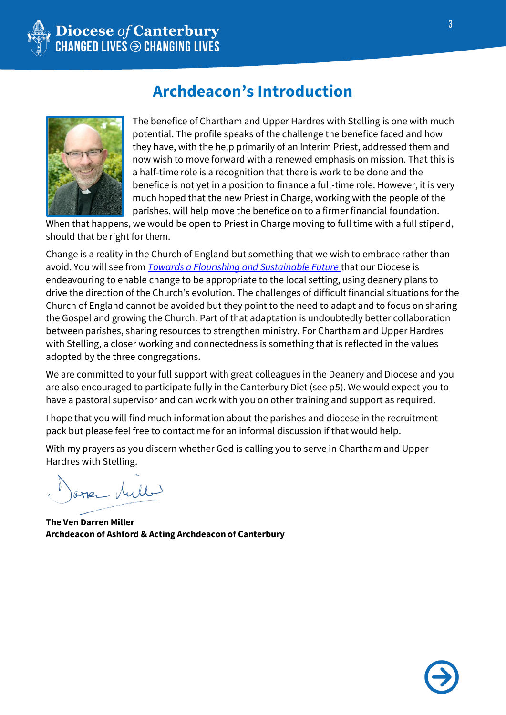

**Archdeacon's Introduction**

The benefice of Chartham and Upper Hardres with Stelling is one with much potential. The profile speaks of the challenge the benefice faced and how they have, with the help primarily of an Interim Priest, addressed them and now wish to move forward with a renewed emphasis on mission. That this is a half-time role is a recognition that there is work to be done and the benefice is not yet in a position to finance a full-time role. However, it is very much hoped that the new Priest in Charge, working with the people of the parishes, will help move the benefice on to a firmer financial foundation.

When that happens, we would be open to Priest in Charge moving to full time with a full stipend, should that be right for them.

Change is a reality in the Church of England but something that we wish to embrace rather than avoid. You will see from *[Towards a Flourishing and Sustainable Future](https://d3hgrlq6yacptf.cloudfront.net/5f209069c4808/content/pages/documents/towardsaflourishingandsustainablefutureapril2021.pdf)* that our Diocese is endeavouring to enable change to be appropriate to the local setting, using deanery plans to drive the direction of the Church's evolution. The challenges of difficult financial situations for the Church of England cannot be avoided but they point to the need to adapt and to focus on sharing the Gospel and growing the Church. Part of that adaptation is undoubtedly better collaboration between parishes, sharing resources to strengthen ministry. For Chartham and Upper Hardres with Stelling, a closer working and connectedness is something that is reflected in the values adopted by the three congregations.

We are committed to your full support with great colleagues in the Deanery and Diocese and you are also encouraged to participate fully in the Canterbury Diet (see p5). We would expect you to have a pastoral supervisor and can work with you on other training and support as required.

I hope that you will find much information about the parishes and diocese in the recruitment pack but please feel free to contact me for an informal discussion if that would help.

With my prayers as you discern whether God is calling you to serve in Chartham and Upper Hardres with Stelling.

over lulle

**The Ven Darren Miller Archdeacon of Ashford & Acting Archdeacon of Canterbury**

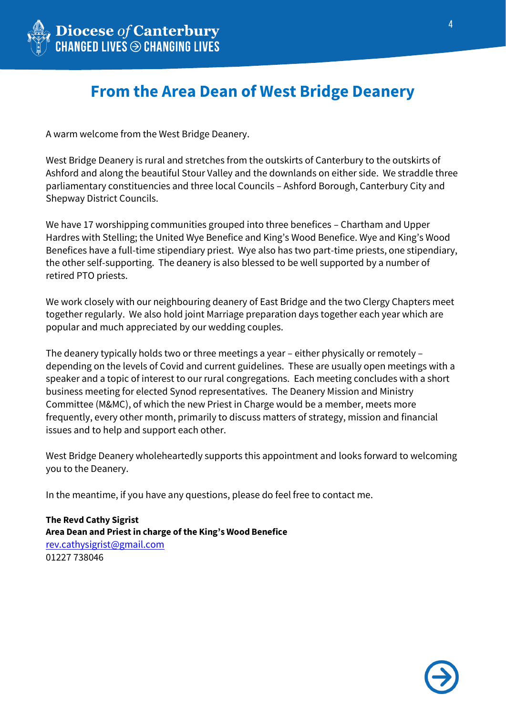

### **From the Area Dean of West Bridge Deanery**

A warm welcome from the West Bridge Deanery.

West Bridge Deanery is rural and stretches from the outskirts of Canterbury to the outskirts of Ashford and along the beautiful Stour Valley and the downlands on either side. We straddle three parliamentary constituencies and three local Councils – Ashford Borough, Canterbury City and Shepway District Councils.

We have 17 worshipping communities grouped into three benefices – Chartham and Upper Hardres with Stelling; the United Wye Benefice and King's Wood Benefice. Wye and King's Wood Benefices have a full-time stipendiary priest. Wye also has two part-time priests, one stipendiary, the other self-supporting. The deanery is also blessed to be well supported by a number of retired PTO priests.

We work closely with our neighbouring deanery of East Bridge and the two Clergy Chapters meet together regularly. We also hold joint Marriage preparation days together each year which are popular and much appreciated by our wedding couples.

The deanery typically holds two or three meetings a year – either physically or remotely – depending on the levels of Covid and current guidelines. These are usually open meetings with a speaker and a topic of interest to our rural congregations. Each meeting concludes with a short business meeting for elected Synod representatives. The Deanery Mission and Ministry Committee (M&MC), of which the new Priest in Charge would be a member, meets more frequently, every other month, primarily to discuss matters of strategy, mission and financial issues and to help and support each other.

West Bridge Deanery wholeheartedly supports this appointment and looks forward to welcoming you to the Deanery.

In the meantime, if you have any questions, please do feel free to contact me.

**The Revd Cathy Sigrist Area Dean and Priest in charge of the King's Wood Benefice** [rev.cathysigrist@gmail.com](mailto:rev.cathysigrist@gmail.com) 01227 738046

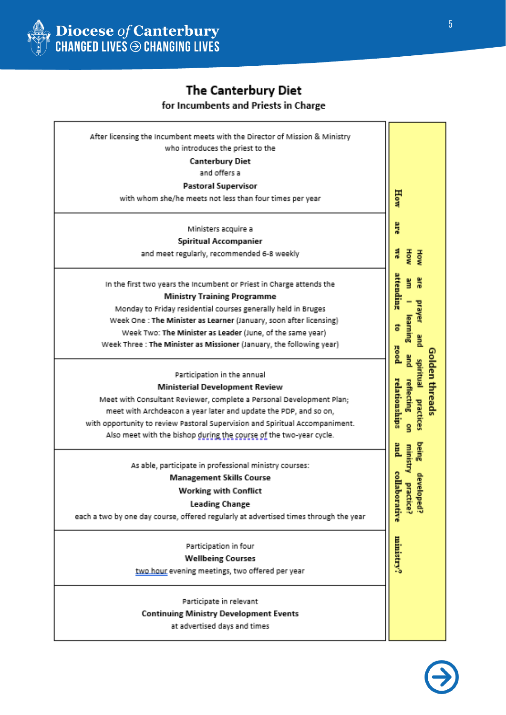

### The Canterbury Diet

#### for Incumbents and Priests in Charge

| After licensing the Incumbent meets with the Director of Mission & Ministry<br>who introduces the priest to the<br><b>Canterbury Diet</b><br>and offers a<br><b>Pastoral Supervisor</b><br>with whom she/he meets not less than four times per year                                                                                                                                                                                                                                                                                                                                                                                                                                                                                                              | <b>How</b>                                                                                                                                                         |
|------------------------------------------------------------------------------------------------------------------------------------------------------------------------------------------------------------------------------------------------------------------------------------------------------------------------------------------------------------------------------------------------------------------------------------------------------------------------------------------------------------------------------------------------------------------------------------------------------------------------------------------------------------------------------------------------------------------------------------------------------------------|--------------------------------------------------------------------------------------------------------------------------------------------------------------------|
| Ministers acquire a<br>Spiritual Accompanier<br>and meet regularly, recommended 6-8 weekly                                                                                                                                                                                                                                                                                                                                                                                                                                                                                                                                                                                                                                                                       | H<br>au.<br>How<br>Ĕ                                                                                                                                               |
| In the first two years the Incumbent or Priest in Charge attends the<br><b>Ministry Training Programme</b><br>Monday to Friday residential courses generally held in Bruges<br>Week One : The Minister as Learner (January, soon after licensing)<br>Week Two: The Minister as Leader (June, of the same year)<br>Week Three : The Minister as Missioner (January, the following year)<br>Participation in the annual<br><b>Ministerial Development Review</b><br>Meet with Consultant Reviewer, complete a Personal Development Plan;<br>meet with Archdeacon a year later and update the PDP, and so on,<br>with opportunity to review Pastoral Supervision and Spiritual Accompaniment.<br>Also meet with the bishop during the course of the two-year cycle. | attending<br>昌<br>Ë.<br><b>Trayer</b><br>learning<br>ន<br>ã<br>Rood<br>Golden threads<br><b>Burg</b><br>leutriqal<br>relationships<br>reflecting<br>practices<br>g |
| As able, participate in professional ministry courses:<br><b>Management Skills Course</b><br><b>Working with Conflict</b><br><b>Leading Change</b><br>each a two by one day course, offered regularly at advertised times through the year<br>Participation in four<br><b>Wellbeing Courses</b><br>two hour evening meetings, two offered per year                                                                                                                                                                                                                                                                                                                                                                                                               | pue<br>being<br>ministry<br>collabors<br>dolelope<br>practic<br>ş<br>ministry?                                                                                     |
| Participate in relevant<br><b>Continuing Ministry Development Events</b><br>at advertised days and times                                                                                                                                                                                                                                                                                                                                                                                                                                                                                                                                                                                                                                                         |                                                                                                                                                                    |